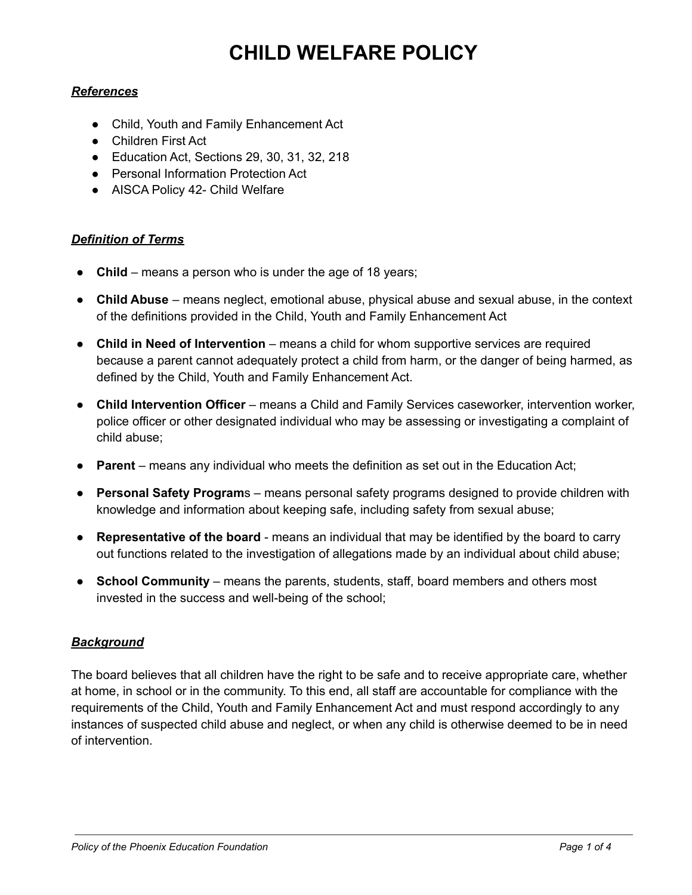# **CHILD WELFARE POLICY**

#### *References*

- Child, Youth and Family Enhancement Act
- Children First Act
- Education Act, Sections 29, 30, 31, 32, 218
- Personal Information Protection Act
- AISCA Policy 42- Child Welfare

#### *Definition of Terms*

- **Child** means a person who is under the age of 18 years;
- **Child Abuse** means neglect, emotional abuse, physical abuse and sexual abuse, in the context of the definitions provided in the Child, Youth and Family Enhancement Act
- **Child in Need of Intervention** means a child for whom supportive services are required because a parent cannot adequately protect a child from harm, or the danger of being harmed, as defined by the Child, Youth and Family Enhancement Act.
- **Child Intervention Officer** means a Child and Family Services caseworker, intervention worker, police officer or other designated individual who may be assessing or investigating a complaint of child abuse;
- **Parent** means any individual who meets the definition as set out in the Education Act;
- **Personal Safety Program**s means personal safety programs designed to provide children with knowledge and information about keeping safe, including safety from sexual abuse;
- **Representative of the board** means an individual that may be identified by the board to carry out functions related to the investigation of allegations made by an individual about child abuse;
- **School Community** means the parents, students, staff, board members and others most invested in the success and well-being of the school;

#### *Background*

The board believes that all children have the right to be safe and to receive appropriate care, whether at home, in school or in the community. To this end, all staff are accountable for compliance with the requirements of the Child, Youth and Family Enhancement Act and must respond accordingly to any instances of suspected child abuse and neglect, or when any child is otherwise deemed to be in need of intervention.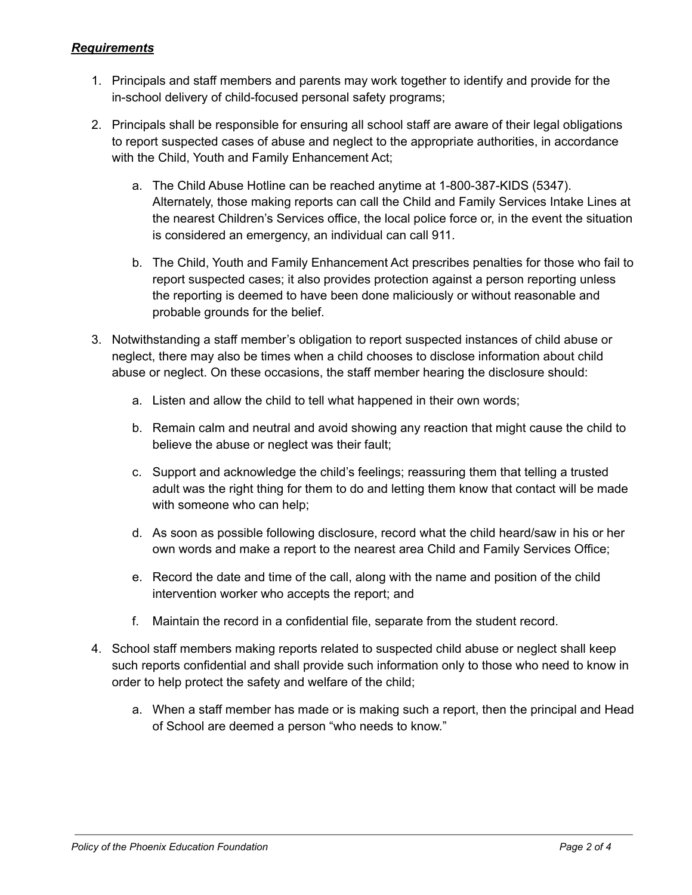#### *Requirements*

- 1. Principals and staff members and parents may work together to identify and provide for the in-school delivery of child-focused personal safety programs;
- 2. Principals shall be responsible for ensuring all school staff are aware of their legal obligations to report suspected cases of abuse and neglect to the appropriate authorities, in accordance with the Child, Youth and Family Enhancement Act;
	- a. The Child Abuse Hotline can be reached anytime at 1-800-387-KIDS (5347). Alternately, those making reports can call the Child and Family Services Intake Lines at the nearest Children's Services office, the local police force or, in the event the situation is considered an emergency, an individual can call 911.
	- b. The Child, Youth and Family Enhancement Act prescribes penalties for those who fail to report suspected cases; it also provides protection against a person reporting unless the reporting is deemed to have been done maliciously or without reasonable and probable grounds for the belief.
- 3. Notwithstanding a staff member's obligation to report suspected instances of child abuse or neglect, there may also be times when a child chooses to disclose information about child abuse or neglect. On these occasions, the staff member hearing the disclosure should:
	- a. Listen and allow the child to tell what happened in their own words;
	- b. Remain calm and neutral and avoid showing any reaction that might cause the child to believe the abuse or neglect was their fault;
	- c. Support and acknowledge the child's feelings; reassuring them that telling a trusted adult was the right thing for them to do and letting them know that contact will be made with someone who can help;
	- d. As soon as possible following disclosure, record what the child heard/saw in his or her own words and make a report to the nearest area Child and Family Services Office;
	- e. Record the date and time of the call, along with the name and position of the child intervention worker who accepts the report; and
	- f. Maintain the record in a confidential file, separate from the student record.
- 4. School staff members making reports related to suspected child abuse or neglect shall keep such reports confidential and shall provide such information only to those who need to know in order to help protect the safety and welfare of the child;
	- a. When a staff member has made or is making such a report, then the principal and Head of School are deemed a person "who needs to know."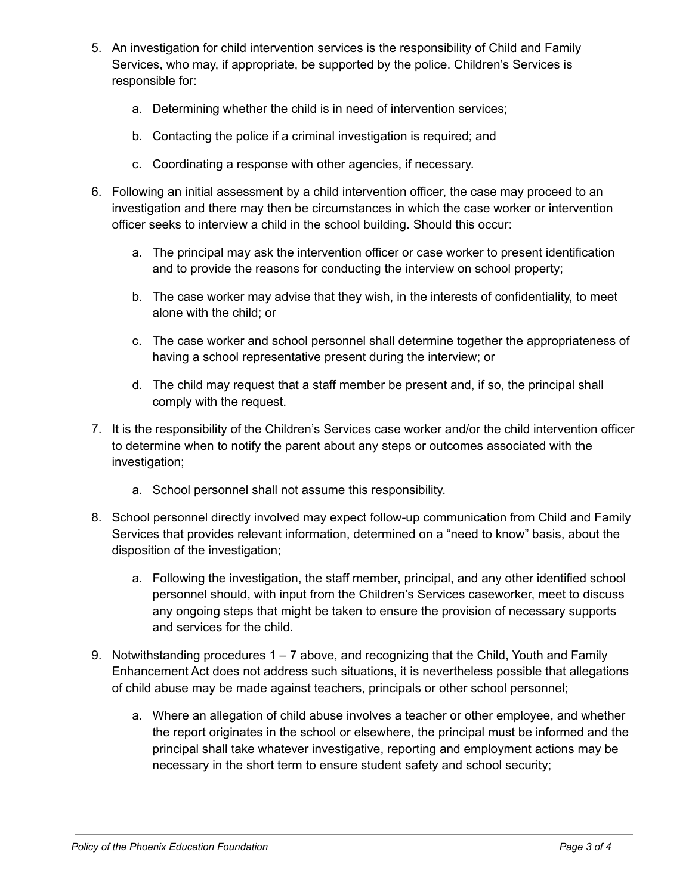- 5. An investigation for child intervention services is the responsibility of Child and Family Services, who may, if appropriate, be supported by the police. Children's Services is responsible for:
	- a. Determining whether the child is in need of intervention services;
	- b. Contacting the police if a criminal investigation is required; and
	- c. Coordinating a response with other agencies, if necessary.
- 6. Following an initial assessment by a child intervention officer, the case may proceed to an investigation and there may then be circumstances in which the case worker or intervention officer seeks to interview a child in the school building. Should this occur:
	- a. The principal may ask the intervention officer or case worker to present identification and to provide the reasons for conducting the interview on school property;
	- b. The case worker may advise that they wish, in the interests of confidentiality, to meet alone with the child; or
	- c. The case worker and school personnel shall determine together the appropriateness of having a school representative present during the interview; or
	- d. The child may request that a staff member be present and, if so, the principal shall comply with the request.
- 7. It is the responsibility of the Children's Services case worker and/or the child intervention officer to determine when to notify the parent about any steps or outcomes associated with the investigation;
	- a. School personnel shall not assume this responsibility.
- 8. School personnel directly involved may expect follow-up communication from Child and Family Services that provides relevant information, determined on a "need to know" basis, about the disposition of the investigation;
	- a. Following the investigation, the staff member, principal, and any other identified school personnel should, with input from the Children's Services caseworker, meet to discuss any ongoing steps that might be taken to ensure the provision of necessary supports and services for the child.
- 9. Notwithstanding procedures  $1 7$  above, and recognizing that the Child, Youth and Family Enhancement Act does not address such situations, it is nevertheless possible that allegations of child abuse may be made against teachers, principals or other school personnel;
	- a. Where an allegation of child abuse involves a teacher or other employee, and whether the report originates in the school or elsewhere, the principal must be informed and the principal shall take whatever investigative, reporting and employment actions may be necessary in the short term to ensure student safety and school security;